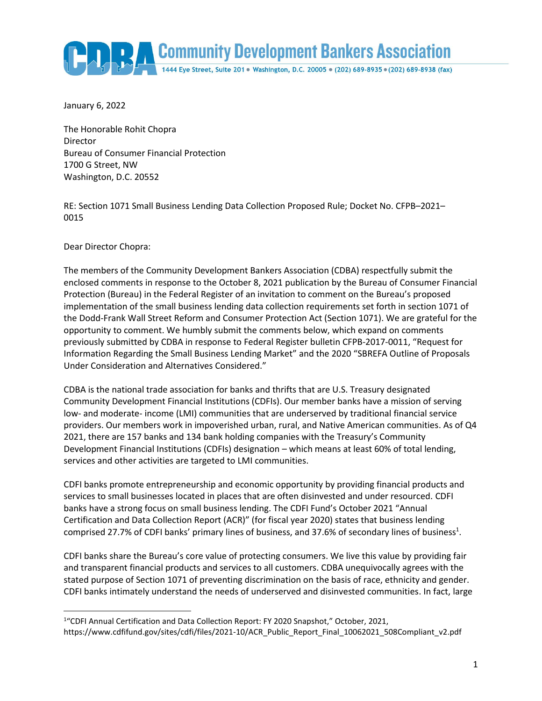

January 6, 2022

The Honorable Rohit Chopra Director Bureau of Consumer Financial Protection 1700 G Street, NW Washington, D.C. 20552

RE: Section 1071 Small Business Lending Data Collection Proposed Rule; Docket No. CFPB–2021– 0015

Dear Director Chopra:

 $\overline{\phantom{a}}$ 

The members of the Community Development Bankers Association (CDBA) respectfully submit the enclosed comments in response to the October 8, 2021 publication by the Bureau of Consumer Financial Protection (Bureau) in the Federal Register of an invitation to comment on the Bureau's proposed implementation of the small business lending data collection requirements set forth in section 1071 of the Dodd-Frank Wall Street Reform and Consumer Protection Act (Section 1071). We are grateful for the opportunity to comment. We humbly submit the comments below, which expand on comments previously submitted by CDBA in response to Federal Register bulletin CFPB-2017-0011, "Request for Information Regarding the Small Business Lending Market" and the 2020 "SBREFA Outline of Proposals Under Consideration and Alternatives Considered."

CDBA is the national trade association for banks and thrifts that are U.S. Treasury designated Community Development Financial Institutions (CDFIs). Our member banks have a mission of serving low- and moderate- income (LMI) communities that are underserved by traditional financial service providers. Our members work in impoverished urban, rural, and Native American communities. As of Q4 2021, there are 157 banks and 134 bank holding companies with the Treasury's Community Development Financial Institutions (CDFIs) designation – which means at least 60% of total lending, services and other activities are targeted to LMI communities.

CDFI banks promote entrepreneurship and economic opportunity by providing financial products and services to small businesses located in places that are often disinvested and under resourced. CDFI banks have a strong focus on small business lending. The CDFI Fund's October 2021 "Annual Certification and Data Collection Report (ACR)" (for fiscal year 2020) states that business lending comprised 27.7% of CDFI banks' primary lines of business, and 37.6% of secondary lines of business<sup>1</sup>.

CDFI banks share the Bureau's core value of protecting consumers. We live this value by providing fair and transparent financial products and services to all customers. CDBA unequivocally agrees with the stated purpose of Section 1071 of preventing discrimination on the basis of race, ethnicity and gender. CDFI banks intimately understand the needs of underserved and disinvested communities. In fact, large

<sup>&</sup>lt;sup>1</sup>"CDFI Annual Certification and Data Collection Report: FY 2020 Snapshot," October, 2021, https://www.cdfifund.gov/sites/cdfi/files/2021-10/ACR\_Public\_Report\_Final\_10062021\_508Compliant\_v2.pdf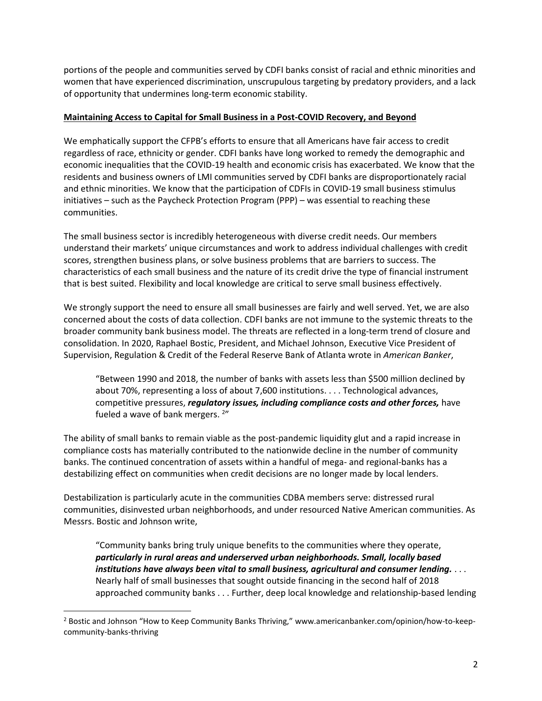portions of the people and communities served by CDFI banks consist of racial and ethnic minorities and women that have experienced discrimination, unscrupulous targeting by predatory providers, and a lack of opportunity that undermines long-term economic stability.

### **Maintaining Access to Capital for Small Business in a Post-COVID Recovery, and Beyond**

We emphatically support the CFPB's efforts to ensure that all Americans have fair access to credit regardless of race, ethnicity or gender. CDFI banks have long worked to remedy the demographic and economic inequalities that the COVID-19 health and economic crisis has exacerbated. We know that the residents and business owners of LMI communities served by CDFI banks are disproportionately racial and ethnic minorities. We know that the participation of CDFIs in COVID-19 small business stimulus initiatives – such as the Paycheck Protection Program (PPP) – was essential to reaching these communities.

The small business sector is incredibly heterogeneous with diverse credit needs. Our members understand their markets' unique circumstances and work to address individual challenges with credit scores, strengthen business plans, or solve business problems that are barriers to success. The characteristics of each small business and the nature of its credit drive the type of financial instrument that is best suited. Flexibility and local knowledge are critical to serve small business effectively.

We strongly support the need to ensure all small businesses are fairly and well served. Yet, we are also concerned about the costs of data collection. CDFI banks are not immune to the systemic threats to the broader community bank business model. The threats are reflected in a long-term trend of closure and consolidation. In 2020, Raphael Bostic, President, and Michael Johnson, Executive Vice President of Supervision, Regulation & Credit of the Federal Reserve Bank of Atlanta wrote in *American Banker*,

"Between 1990 and 2018, the number of banks with assets less than \$500 million declined by about 70%, representing a loss of about 7,600 institutions. . . . Technological advances, competitive pressures, *regulatory issues, including compliance costs and other forces,* have fueled a wave of bank mergers. <sup>2</sup>"

The ability of small banks to remain viable as the post-pandemic liquidity glut and a rapid increase in compliance costs has materially contributed to the nationwide decline in the number of community banks. The continued concentration of assets within a handful of mega- and regional-banks has a destabilizing effect on communities when credit decisions are no longer made by local lenders.

Destabilization is particularly acute in the communities CDBA members serve: distressed rural communities, disinvested urban neighborhoods, and under resourced Native American communities. As Messrs. Bostic and Johnson write,

"Community banks bring truly unique benefits to the communities where they operate, *particularly in rural areas and underserved urban neighborhoods. Small, locally based institutions have always been vital to small business, agricultural and consumer lending.* . . . Nearly half of small businesses that sought outside financing in the second half of 2018 approached community banks . . . Further, deep local knowledge and relationship-based lending

 $\overline{\phantom{a}}$ 

<sup>2</sup> Bostic and Johnson "How to Keep Community Banks Thriving," www.americanbanker.com/opinion/how-to-keepcommunity-banks-thriving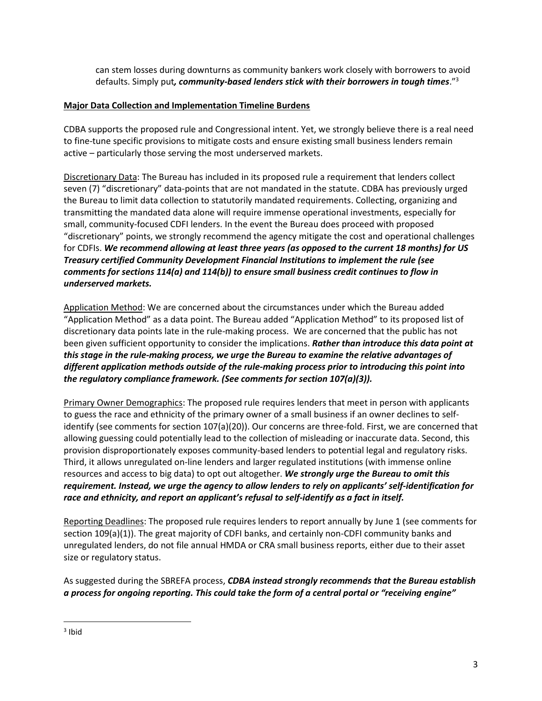can stem losses during downturns as community bankers work closely with borrowers to avoid defaults. Simply put*, community-based lenders stick with their borrowers in tough times*." 3

### **Major Data Collection and Implementation Timeline Burdens**

CDBA supports the proposed rule and Congressional intent. Yet, we strongly believe there is a real need to fine-tune specific provisions to mitigate costs and ensure existing small business lenders remain active – particularly those serving the most underserved markets.

Discretionary Data: The Bureau has included in its proposed rule a requirement that lenders collect seven (7) "discretionary" data-points that are not mandated in the statute. CDBA has previously urged the Bureau to limit data collection to statutorily mandated requirements. Collecting, organizing and transmitting the mandated data alone will require immense operational investments, especially for small, community-focused CDFI lenders. In the event the Bureau does proceed with proposed "discretionary" points, we strongly recommend the agency mitigate the cost and operational challenges for CDFIs. *We recommend allowing at least three years (as opposed to the current 18 months) for US Treasury certified Community Development Financial Institutions to implement the rule (see comments for sections 114(a) and 114(b)) to ensure small business credit continues to flow in underserved markets.*

Application Method: We are concerned about the circumstances under which the Bureau added "Application Method" as a data point. The Bureau added "Application Method" to its proposed list of discretionary data points late in the rule-making process. We are concerned that the public has not been given sufficient opportunity to consider the implications. *Rather than introduce this data point at this stage in the rule-making process, we urge the Bureau to examine the relative advantages of different application methods outside of the rule-making process prior to introducing this point into the regulatory compliance framework. (See comments for section 107(a)(3)).*

Primary Owner Demographics: The proposed rule requires lenders that meet in person with applicants to guess the race and ethnicity of the primary owner of a small business if an owner declines to selfidentify (see comments for section 107(a)(20)). Our concerns are three-fold. First, we are concerned that allowing guessing could potentially lead to the collection of misleading or inaccurate data. Second, this provision disproportionately exposes community-based lenders to potential legal and regulatory risks. Third, it allows unregulated on-line lenders and larger regulated institutions (with immense online resources and access to big data) to opt out altogether. *We strongly urge the Bureau to omit this requirement. Instead, we urge the agency to allow lenders to rely on applicants' self-identification for race and ethnicity, and report an applicant's refusal to self-identify as a fact in itself.*

Reporting Deadlines: The proposed rule requires lenders to report annually by June 1 (see comments for section 109(a)(1)). The great majority of CDFI banks, and certainly non-CDFI community banks and unregulated lenders, do not file annual HMDA or CRA small business reports, either due to their asset size or regulatory status.

As suggested during the SBREFA process, *CDBA instead strongly recommends that the Bureau establish a process for ongoing reporting. This could take the form of a central portal or "receiving engine"* 

 $\overline{\phantom{a}}$ 

<sup>&</sup>lt;sup>3</sup> Ibid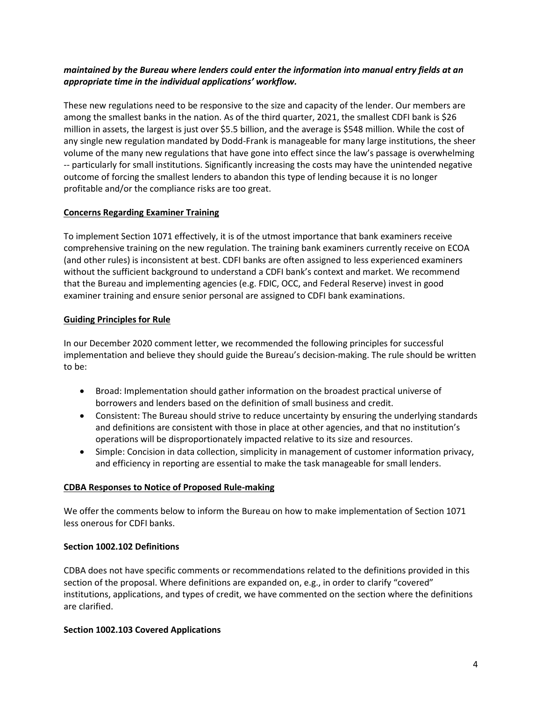### *maintained by the Bureau where lenders could enter the information into manual entry fields at an appropriate time in the individual applications' workflow.*

These new regulations need to be responsive to the size and capacity of the lender. Our members are among the smallest banks in the nation. As of the third quarter, 2021, the smallest CDFI bank is \$26 million in assets, the largest is just over \$5.5 billion, and the average is \$548 million. While the cost of any single new regulation mandated by Dodd-Frank is manageable for many large institutions, the sheer volume of the many new regulations that have gone into effect since the law's passage is overwhelming -- particularly for small institutions. Significantly increasing the costs may have the unintended negative outcome of forcing the smallest lenders to abandon this type of lending because it is no longer profitable and/or the compliance risks are too great.

### **Concerns Regarding Examiner Training**

To implement Section 1071 effectively, it is of the utmost importance that bank examiners receive comprehensive training on the new regulation. The training bank examiners currently receive on ECOA (and other rules) is inconsistent at best. CDFI banks are often assigned to less experienced examiners without the sufficient background to understand a CDFI bank's context and market. We recommend that the Bureau and implementing agencies (e.g. FDIC, OCC, and Federal Reserve) invest in good examiner training and ensure senior personal are assigned to CDFI bank examinations.

### **Guiding Principles for Rule**

In our December 2020 comment letter, we recommended the following principles for successful implementation and believe they should guide the Bureau's decision-making. The rule should be written to be:

- Broad: Implementation should gather information on the broadest practical universe of borrowers and lenders based on the definition of small business and credit.
- Consistent: The Bureau should strive to reduce uncertainty by ensuring the underlying standards and definitions are consistent with those in place at other agencies, and that no institution's operations will be disproportionately impacted relative to its size and resources.
- Simple: Concision in data collection, simplicity in management of customer information privacy, and efficiency in reporting are essential to make the task manageable for small lenders.

#### **CDBA Responses to Notice of Proposed Rule-making**

We offer the comments below to inform the Bureau on how to make implementation of Section 1071 less onerous for CDFI banks.

#### **Section 1002.102 Definitions**

CDBA does not have specific comments or recommendations related to the definitions provided in this section of the proposal. Where definitions are expanded on, e.g., in order to clarify "covered" institutions, applications, and types of credit, we have commented on the section where the definitions are clarified.

#### **Section 1002.103 Covered Applications**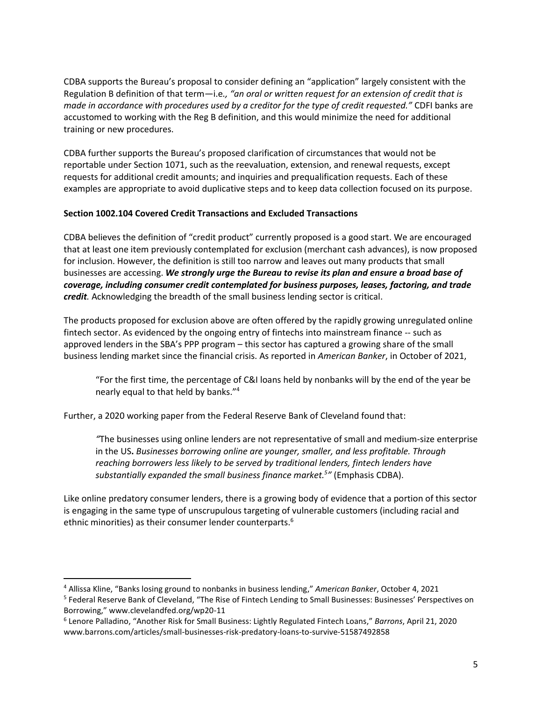CDBA supports the Bureau's proposal to consider defining an "application" largely consistent with the Regulation B definition of that term—i.e*., "an oral or written request for an extension of credit that is made in accordance with procedures used by a creditor for the type of credit requested."* CDFI banks are accustomed to working with the Reg B definition, and this would minimize the need for additional training or new procedures.

CDBA further supports the Bureau's proposed clarification of circumstances that would not be reportable under Section 1071, such as the reevaluation, extension, and renewal requests, except requests for additional credit amounts; and inquiries and prequalification requests. Each of these examples are appropriate to avoid duplicative steps and to keep data collection focused on its purpose.

### **Section 1002.104 Covered Credit Transactions and Excluded Transactions**

CDBA believes the definition of "credit product" currently proposed is a good start. We are encouraged that at least one item previously contemplated for exclusion (merchant cash advances), is now proposed for inclusion. However, the definition is still too narrow and leaves out many products that small businesses are accessing. *We strongly urge the Bureau to revise its plan and ensure a broad base of coverage, including consumer credit contemplated for business purposes, leases, factoring, and trade credit.* Acknowledging the breadth of the small business lending sector is critical.

The products proposed for exclusion above are often offered by the rapidly growing unregulated online fintech sector. As evidenced by the ongoing entry of fintechs into mainstream finance -- such as approved lenders in the SBA's PPP program – this sector has captured a growing share of the small business lending market since the financial crisis. As reported in *American Banker*, in October of 2021,

"For the first time, the percentage of C&I loans held by nonbanks will by the end of the year be nearly equal to that held by banks."<sup>4</sup>

Further, a 2020 working paper from the Federal Reserve Bank of Cleveland found that:

*"*The businesses using online lenders are not representative of small and medium-size enterprise in the US**.** *Businesses borrowing online are younger, smaller, and less profitable. Through reaching borrowers less likely to be served by traditional lenders, fintech lenders have substantially expanded the small business finance market. 5 "* (Emphasis CDBA).

Like online predatory consumer lenders, there is a growing body of evidence that a portion of this sector is engaging in the same type of unscrupulous targeting of vulnerable customers (including racial and ethnic minorities) as their consumer lender counterparts.<sup>6</sup>

 $\overline{\phantom{a}}$ 

<sup>4</sup> Allissa Kline, "Banks losing ground to nonbanks in business lending," *American Banker*, October 4, 2021

<sup>&</sup>lt;sup>5</sup> Federal Reserve Bank of Cleveland, "The Rise of Fintech Lending to Small Businesses: Businesses' Perspectives on Borrowing," www.clevelandfed.org/wp20-11

<sup>6</sup> Lenore Palladino, "Another Risk for Small Business: Lightly Regulated Fintech Loans," *Barrons*, April 21, 2020 www.barrons.com/articles/small-businesses-risk-predatory-loans-to-survive-51587492858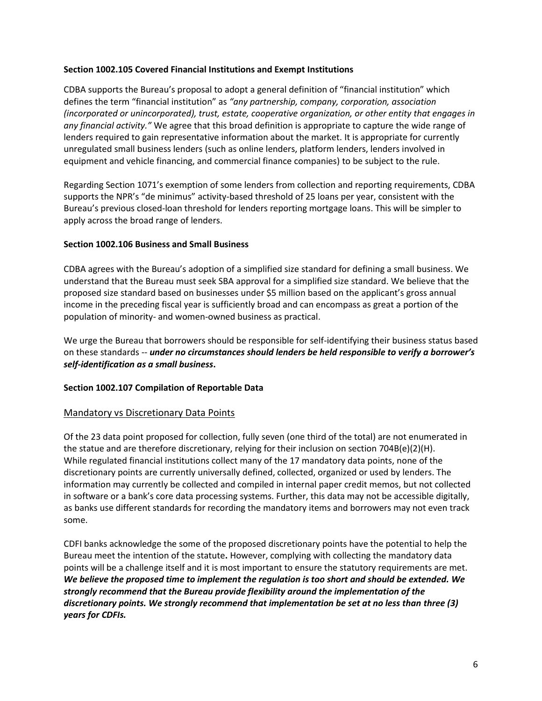#### **Section 1002.105 Covered Financial Institutions and Exempt Institutions**

CDBA supports the Bureau's proposal to adopt a general definition of "financial institution" which defines the term "financial institution" as *"any partnership, company, corporation, association (incorporated or unincorporated), trust, estate, cooperative organization, or other entity that engages in any financial activity."* We agree that this broad definition is appropriate to capture the wide range of lenders required to gain representative information about the market. It is appropriate for currently unregulated small business lenders (such as online lenders, platform lenders, lenders involved in equipment and vehicle financing, and commercial finance companies) to be subject to the rule.

Regarding Section 1071's exemption of some lenders from collection and reporting requirements, CDBA supports the NPR's "de minimus" activity-based threshold of 25 loans per year, consistent with the Bureau's previous closed-loan threshold for lenders reporting mortgage loans. This will be simpler to apply across the broad range of lenders.

#### **Section 1002.106 Business and Small Business**

CDBA agrees with the Bureau's adoption of a simplified size standard for defining a small business. We understand that the Bureau must seek SBA approval for a simplified size standard. We believe that the proposed size standard based on businesses under \$5 million based on the applicant's gross annual income in the preceding fiscal year is sufficiently broad and can encompass as great a portion of the population of minority- and women-owned business as practical.

We urge the Bureau that borrowers should be responsible for self-identifying their business status based on these standards -- *under no circumstances should lenders be held responsible to verify a borrower's self-identification as a small business***.**

#### **Section 1002.107 Compilation of Reportable Data**

#### Mandatory vs Discretionary Data Points

Of the 23 data point proposed for collection, fully seven (one third of the total) are not enumerated in the statue and are therefore discretionary, relying for their inclusion on section 704B(e)(2)(H). While regulated financial institutions collect many of the 17 mandatory data points, none of the discretionary points are currently universally defined, collected, organized or used by lenders. The information may currently be collected and compiled in internal paper credit memos, but not collected in software or a bank's core data processing systems. Further, this data may not be accessible digitally, as banks use different standards for recording the mandatory items and borrowers may not even track some.

CDFI banks acknowledge the some of the proposed discretionary points have the potential to help the Bureau meet the intention of the statute**.** However, complying with collecting the mandatory data points will be a challenge itself and it is most important to ensure the statutory requirements are met. *We believe the proposed time to implement the regulation is too short and should be extended. We strongly recommend that the Bureau provide flexibility around the implementation of the discretionary points. We strongly recommend that implementation be set at no less than three (3) years for CDFIs.*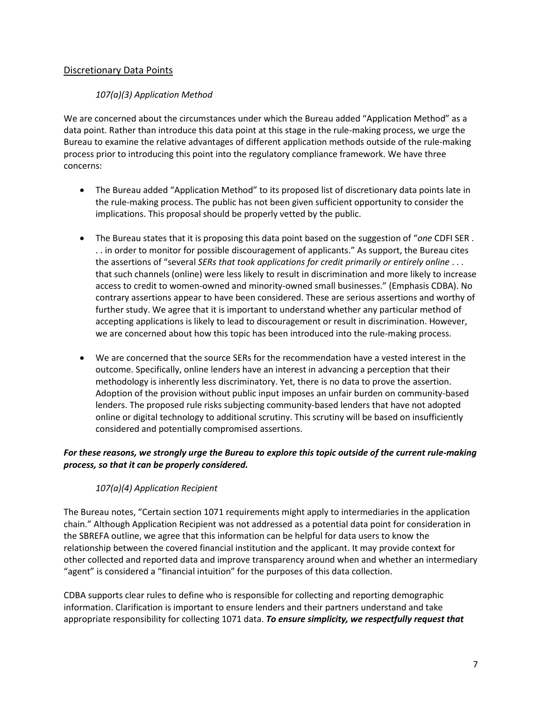## Discretionary Data Points

## *107(a)(3) Application Method*

We are concerned about the circumstances under which the Bureau added "Application Method" as a data point. Rather than introduce this data point at this stage in the rule-making process, we urge the Bureau to examine the relative advantages of different application methods outside of the rule-making process prior to introducing this point into the regulatory compliance framework. We have three concerns:

- The Bureau added "Application Method" to its proposed list of discretionary data points late in the rule-making process. The public has not been given sufficient opportunity to consider the implications. This proposal should be properly vetted by the public.
- The Bureau states that it is proposing this data point based on the suggestion of "*one* CDFI SER . . . in order to monitor for possible discouragement of applicants." As support, the Bureau cites the assertions of "several *SERs that took applications for credit primarily or entirely online* . . . that such channels (online) were less likely to result in discrimination and more likely to increase access to credit to women-owned and minority-owned small businesses." (Emphasis CDBA). No contrary assertions appear to have been considered. These are serious assertions and worthy of further study. We agree that it is important to understand whether any particular method of accepting applications is likely to lead to discouragement or result in discrimination. However, we are concerned about how this topic has been introduced into the rule-making process.
- We are concerned that the source SERs for the recommendation have a vested interest in the outcome. Specifically, online lenders have an interest in advancing a perception that their methodology is inherently less discriminatory. Yet, there is no data to prove the assertion. Adoption of the provision without public input imposes an unfair burden on community-based lenders. The proposed rule risks subjecting community-based lenders that have not adopted online or digital technology to additional scrutiny. This scrutiny will be based on insufficiently considered and potentially compromised assertions.

## *For these reasons, we strongly urge the Bureau to explore this topic outside of the current rule-making process, so that it can be properly considered.*

### *107(a)(4) Application Recipient*

The Bureau notes, "Certain section 1071 requirements might apply to intermediaries in the application chain." Although Application Recipient was not addressed as a potential data point for consideration in the SBREFA outline, we agree that this information can be helpful for data users to know the relationship between the covered financial institution and the applicant. It may provide context for other collected and reported data and improve transparency around when and whether an intermediary "agent" is considered a "financial intuition" for the purposes of this data collection.

CDBA supports clear rules to define who is responsible for collecting and reporting demographic information. Clarification is important to ensure lenders and their partners understand and take appropriate responsibility for collecting 1071 data. *To ensure simplicity, we respectfully request that*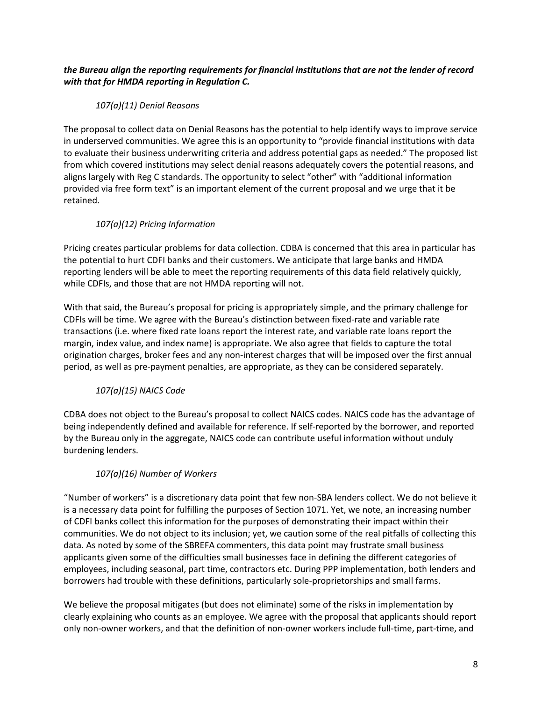## *the Bureau align the reporting requirements for financial institutions that are not the lender of record with that for HMDA reporting in Regulation C.*

## *107(a)(11) Denial Reasons*

The proposal to collect data on Denial Reasons has the potential to help identify ways to improve service in underserved communities. We agree this is an opportunity to "provide financial institutions with data to evaluate their business underwriting criteria and address potential gaps as needed." The proposed list from which covered institutions may select denial reasons adequately covers the potential reasons, and aligns largely with Reg C standards. The opportunity to select "other" with "additional information provided via free form text" is an important element of the current proposal and we urge that it be retained.

# *107(a)(12) Pricing Information*

Pricing creates particular problems for data collection. CDBA is concerned that this area in particular has the potential to hurt CDFI banks and their customers. We anticipate that large banks and HMDA reporting lenders will be able to meet the reporting requirements of this data field relatively quickly, while CDFIs, and those that are not HMDA reporting will not.

With that said, the Bureau's proposal for pricing is appropriately simple, and the primary challenge for CDFIs will be time. We agree with the Bureau's distinction between fixed-rate and variable rate transactions (i.e. where fixed rate loans report the interest rate, and variable rate loans report the margin, index value, and index name) is appropriate. We also agree that fields to capture the total origination charges, broker fees and any non-interest charges that will be imposed over the first annual period, as well as pre-payment penalties, are appropriate, as they can be considered separately.

# *107(a)(15) NAICS Code*

CDBA does not object to the Bureau's proposal to collect NAICS codes. NAICS code has the advantage of being independently defined and available for reference. If self-reported by the borrower, and reported by the Bureau only in the aggregate, NAICS code can contribute useful information without unduly burdening lenders.

# *107(a)(16) Number of Workers*

"Number of workers" is a discretionary data point that few non-SBA lenders collect. We do not believe it is a necessary data point for fulfilling the purposes of Section 1071. Yet, we note, an increasing number of CDFI banks collect this information for the purposes of demonstrating their impact within their communities. We do not object to its inclusion; yet, we caution some of the real pitfalls of collecting this data. As noted by some of the SBREFA commenters, this data point may frustrate small business applicants given some of the difficulties small businesses face in defining the different categories of employees, including seasonal, part time, contractors etc. During PPP implementation, both lenders and borrowers had trouble with these definitions, particularly sole-proprietorships and small farms.

We believe the proposal mitigates (but does not eliminate) some of the risks in implementation by clearly explaining who counts as an employee. We agree with the proposal that applicants should report only non-owner workers, and that the definition of non-owner workers include full-time, part-time, and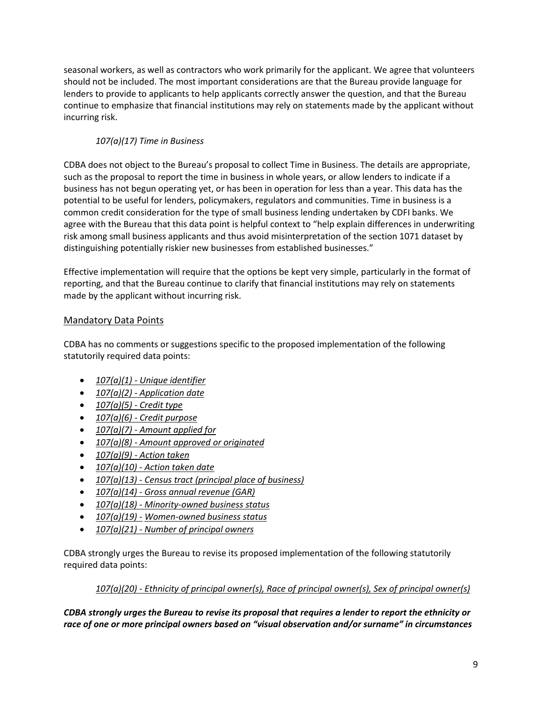seasonal workers, as well as contractors who work primarily for the applicant. We agree that volunteers should not be included. The most important considerations are that the Bureau provide language for lenders to provide to applicants to help applicants correctly answer the question, and that the Bureau continue to emphasize that financial institutions may rely on statements made by the applicant without incurring risk.

# *107(a)(17) Time in Business*

CDBA does not object to the Bureau's proposal to collect Time in Business. The details are appropriate, such as the proposal to report the time in business in whole years, or allow lenders to indicate if a business has not begun operating yet, or has been in operation for less than a year. This data has the potential to be useful for lenders, policymakers, regulators and communities. Time in business is a common credit consideration for the type of small business lending undertaken by CDFI banks. We agree with the Bureau that this data point is helpful context to "help explain differences in underwriting risk among small business applicants and thus avoid misinterpretation of the section 1071 dataset by distinguishing potentially riskier new businesses from established businesses."

Effective implementation will require that the options be kept very simple, particularly in the format of reporting, and that the Bureau continue to clarify that financial institutions may rely on statements made by the applicant without incurring risk.

# Mandatory Data Points

CDBA has no comments or suggestions specific to the proposed implementation of the following statutorily required data points:

- *107(a)(1) - Unique identifier*
- *107(a)(2) - Application date*
- *107(a)(5) - Credit type*
- *107(a)(6) - Credit purpose*
- *107(a)(7) - Amount applied for*
- *107(a)(8) - Amount approved or originated*
- *107(a)(9) - Action taken*
- *107(a)(10) - Action taken date*
- *107(a)(13) - Census tract (principal place of business)*
- *107(a)(14) - Gross annual revenue (GAR)*
- *107(a)(18) - Minority-owned business status*
- *107(a)(19) - Women-owned business status*
- *107(a)(21) - Number of principal owners*

CDBA strongly urges the Bureau to revise its proposed implementation of the following statutorily required data points:

# *107(a)(20) - Ethnicity of principal owner(s), Race of principal owner(s), Sex of principal owner(s)*

*CDBA strongly urges the Bureau to revise its proposal that requires a lender to report the ethnicity or race of one or more principal owners based on "visual observation and/or surname" in circumstances*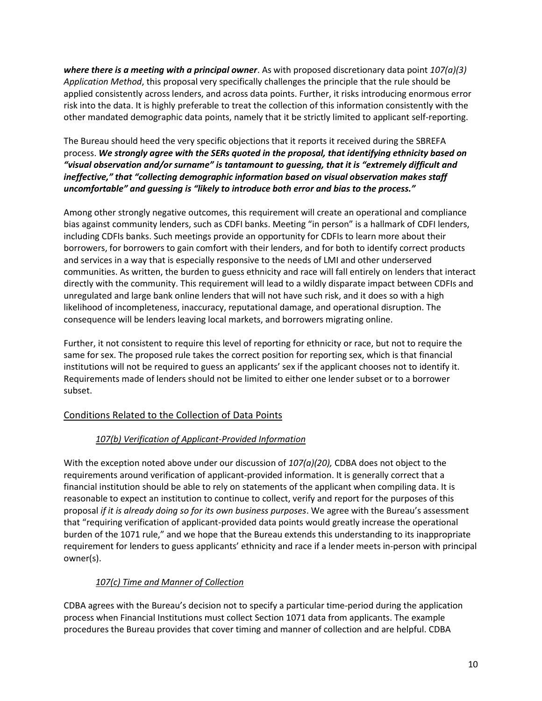*where there is a meeting with a principal owner*. As with proposed discretionary data point *107(a)(3) Application Method*, this proposal very specifically challenges the principle that the rule should be applied consistently across lenders, and across data points. Further, it risks introducing enormous error risk into the data. It is highly preferable to treat the collection of this information consistently with the other mandated demographic data points, namely that it be strictly limited to applicant self-reporting.

The Bureau should heed the very specific objections that it reports it received during the SBREFA process. *We strongly agree with the SERs quoted in the proposal, that identifying ethnicity based on "visual observation and/or surname" is tantamount to guessing, that it is "extremely difficult and ineffective," that "collecting demographic information based on visual observation makes staff uncomfortable" and guessing is "likely to introduce both error and bias to the process."*

Among other strongly negative outcomes, this requirement will create an operational and compliance bias against community lenders, such as CDFI banks. Meeting "in person" is a hallmark of CDFI lenders, including CDFIs banks. Such meetings provide an opportunity for CDFIs to learn more about their borrowers, for borrowers to gain comfort with their lenders, and for both to identify correct products and services in a way that is especially responsive to the needs of LMI and other underserved communities. As written, the burden to guess ethnicity and race will fall entirely on lenders that interact directly with the community. This requirement will lead to a wildly disparate impact between CDFIs and unregulated and large bank online lenders that will not have such risk, and it does so with a high likelihood of incompleteness, inaccuracy, reputational damage, and operational disruption. The consequence will be lenders leaving local markets, and borrowers migrating online.

Further, it not consistent to require this level of reporting for ethnicity or race, but not to require the same for sex. The proposed rule takes the correct position for reporting sex, which is that financial institutions will not be required to guess an applicants' sex if the applicant chooses not to identify it. Requirements made of lenders should not be limited to either one lender subset or to a borrower subset.

# Conditions Related to the Collection of Data Points

# *107(b) Verification of Applicant-Provided Information*

With the exception noted above under our discussion of *107(a)(20),* CDBA does not object to the requirements around verification of applicant-provided information. It is generally correct that a financial institution should be able to rely on statements of the applicant when compiling data. It is reasonable to expect an institution to continue to collect, verify and report for the purposes of this proposal *if it is already doing so for its own business purposes*. We agree with the Bureau's assessment that "requiring verification of applicant-provided data points would greatly increase the operational burden of the 1071 rule," and we hope that the Bureau extends this understanding to its inappropriate requirement for lenders to guess applicants' ethnicity and race if a lender meets in-person with principal owner(s).

# *107(c) Time and Manner of Collection*

CDBA agrees with the Bureau's decision not to specify a particular time-period during the application process when Financial Institutions must collect Section 1071 data from applicants. The example procedures the Bureau provides that cover timing and manner of collection and are helpful. CDBA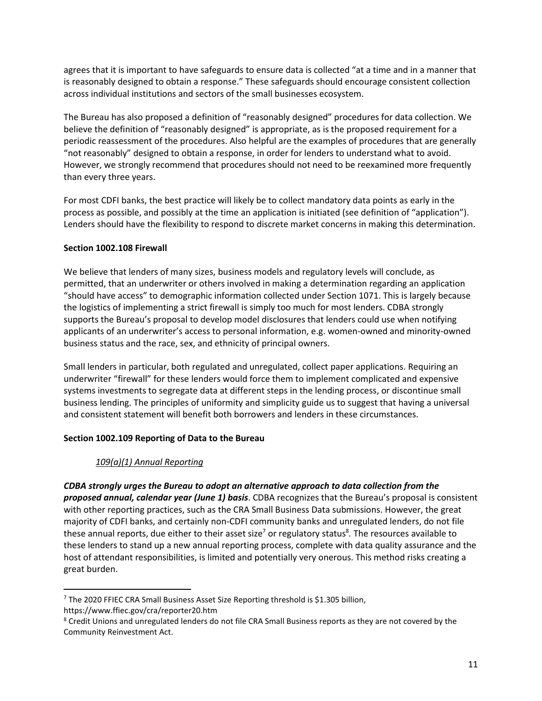agrees that it is important to have safeguards to ensure data is collected "at a time and in a manner that is reasonably designed to obtain a response." These safeguards should encourage consistent collection across individual institutions and sectors of the small businesses ecosystem.

The Bureau has also proposed a definition of "reasonably designed" procedures for data collection. We believe the definition of "reasonably designed" is appropriate, as is the proposed requirement for a periodic reassessment of the procedures. Also helpful are the examples of procedures that are generally "not reasonably" designed to obtain a response, in order for lenders to understand what to avoid. However, we strongly recommend that procedures should not need to be reexamined more frequently than every three years.

For most CDFI banks, the best practice will likely be to collect mandatory data points as early in the process as possible, and possibly at the time an application is initiated (see definition of "application"). Lenders should have the flexibility to respond to discrete market concerns in making this determination.

### **Section 1002.108 Firewall**

We believe that lenders of many sizes, business models and regulatory levels will conclude, as permitted, that an underwriter or others involved in making a determination regarding an application "should have access" to demographic information collected under Section 1071. This is largely because the logistics of implementing a strict firewall is simply too much for most lenders. CDBA strongly supports the Bureau's proposal to develop model disclosures that lenders could use when notifying applicants of an underwriter's access to personal information, e.g. women-owned and minority-owned business status and the race, sex, and ethnicity of principal owners.

Small lenders in particular, both regulated and unregulated, collect paper applications. Requiring an underwriter "firewall" for these lenders would force them to implement complicated and expensive systems investments to segregate data at different steps in the lending process, or discontinue small business lending. The principles of uniformity and simplicity guide us to suggest that having a universal and consistent statement will benefit both borrowers and lenders in these circumstances.

### **Section 1002.109 Reporting of Data to the Bureau**

### *109(a)(1) Annual Reporting*

*CDBA strongly urges the Bureau to adopt an alternative approach to data collection from the proposed annual, calendar year (June 1) basis*. CDBA recognizes that the Bureau's proposal is consistent with other reporting practices, such as the CRA Small Business Data submissions. However, the great majority of CDFI banks, and certainly non-CDFI community banks and unregulated lenders, do not file these annual reports, due either to their asset size<sup>7</sup> or regulatory status<sup>8</sup>. The resources available to these lenders to stand up a new annual reporting process, complete with data quality assurance and the host of attendant responsibilities, is limited and potentially very onerous. This method risks creating a great burden.

l

<sup>&</sup>lt;sup>7</sup> The 2020 FFIEC CRA Small Business Asset Size Reporting threshold is \$1.305 billion,

https://www.ffiec.gov/cra/reporter20.htm

<sup>&</sup>lt;sup>8</sup> Credit Unions and unregulated lenders do not file CRA Small Business reports as they are not covered by the Community Reinvestment Act.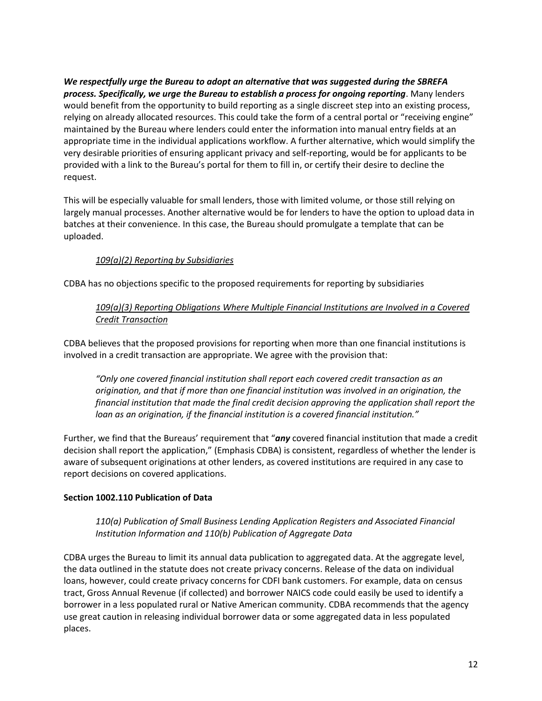*We respectfully urge the Bureau to adopt an alternative that was suggested during the SBREFA process. Specifically, we urge the Bureau to establish a process for ongoing reporting*. Many lenders would benefit from the opportunity to build reporting as a single discreet step into an existing process, relying on already allocated resources. This could take the form of a central portal or "receiving engine" maintained by the Bureau where lenders could enter the information into manual entry fields at an appropriate time in the individual applications workflow. A further alternative, which would simplify the very desirable priorities of ensuring applicant privacy and self-reporting, would be for applicants to be provided with a link to the Bureau's portal for them to fill in, or certify their desire to decline the request.

This will be especially valuable for small lenders, those with limited volume, or those still relying on largely manual processes. Another alternative would be for lenders to have the option to upload data in batches at their convenience. In this case, the Bureau should promulgate a template that can be uploaded.

### *109(a)(2) Reporting by Subsidiaries*

CDBA has no objections specific to the proposed requirements for reporting by subsidiaries

### *109(a)(3) Reporting Obligations Where Multiple Financial Institutions are Involved in a Covered Credit Transaction*

CDBA believes that the proposed provisions for reporting when more than one financial institutions is involved in a credit transaction are appropriate. We agree with the provision that:

*"Only one covered financial institution shall report each covered credit transaction as an origination, and that if more than one financial institution was involved in an origination, the financial institution that made the final credit decision approving the application shall report the loan as an origination, if the financial institution is a covered financial institution."*

Further, we find that the Bureaus' requirement that "*any* covered financial institution that made a credit decision shall report the application," (Emphasis CDBA) is consistent, regardless of whether the lender is aware of subsequent originations at other lenders, as covered institutions are required in any case to report decisions on covered applications.

#### **Section 1002.110 Publication of Data**

*110(a) Publication of Small Business Lending Application Registers and Associated Financial Institution Information and 110(b) Publication of Aggregate Data*

CDBA urges the Bureau to limit its annual data publication to aggregated data. At the aggregate level, the data outlined in the statute does not create privacy concerns. Release of the data on individual loans, however, could create privacy concerns for CDFI bank customers. For example, data on census tract, Gross Annual Revenue (if collected) and borrower NAICS code could easily be used to identify a borrower in a less populated rural or Native American community. CDBA recommends that the agency use great caution in releasing individual borrower data or some aggregated data in less populated places.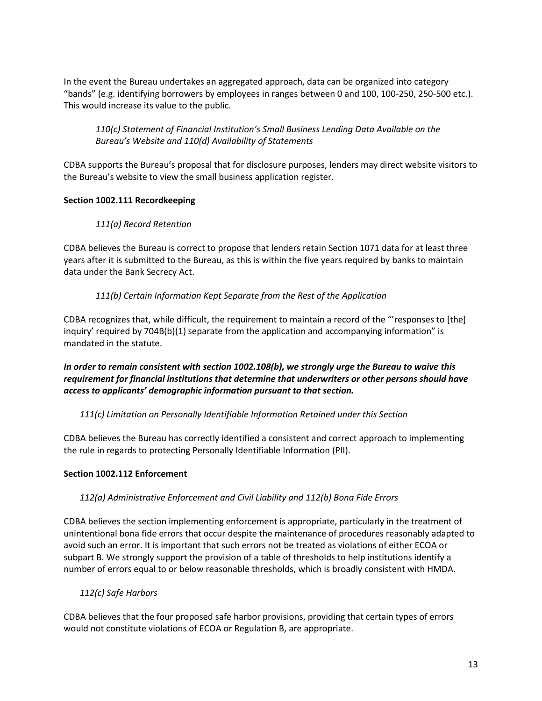In the event the Bureau undertakes an aggregated approach, data can be organized into category "bands" (e.g. identifying borrowers by employees in ranges between 0 and 100, 100-250, 250-500 etc.). This would increase its value to the public.

*110(c) Statement of Financial Institution's Small Business Lending Data Available on the Bureau's Website and 110(d) Availability of Statements*

CDBA supports the Bureau's proposal that for disclosure purposes, lenders may direct website visitors to the Bureau's website to view the small business application register.

### **Section 1002.111 Recordkeeping**

## *111(a) Record Retention*

CDBA believes the Bureau is correct to propose that lenders retain Section 1071 data for at least three years after it is submitted to the Bureau, as this is within the five years required by banks to maintain data under the Bank Secrecy Act.

## *111(b) Certain Information Kept Separate from the Rest of the Application*

CDBA recognizes that, while difficult, the requirement to maintain a record of the "'responses to [the] inquiry' required by 704B(b)(1) separate from the application and accompanying information" is mandated in the statute.

*In order to remain consistent with section 1002.108(b), we strongly urge the Bureau to waive this requirement for financial institutions that determine that underwriters or other persons should have access to applicants' demographic information pursuant to that section.* 

*111(c) Limitation on Personally Identifiable Information Retained under this Section*

CDBA believes the Bureau has correctly identified a consistent and correct approach to implementing the rule in regards to protecting Personally Identifiable Information (PII).

### **Section 1002.112 Enforcement**

### *112(a) Administrative Enforcement and Civil Liability and 112(b) Bona Fide Errors*

CDBA believes the section implementing enforcement is appropriate, particularly in the treatment of unintentional bona fide errors that occur despite the maintenance of procedures reasonably adapted to avoid such an error. It is important that such errors not be treated as violations of either ECOA or subpart B. We strongly support the provision of a table of thresholds to help institutions identify a number of errors equal to or below reasonable thresholds, which is broadly consistent with HMDA.

### *112(c) Safe Harbors*

CDBA believes that the four proposed safe harbor provisions, providing that certain types of errors would not constitute violations of ECOA or Regulation B, are appropriate.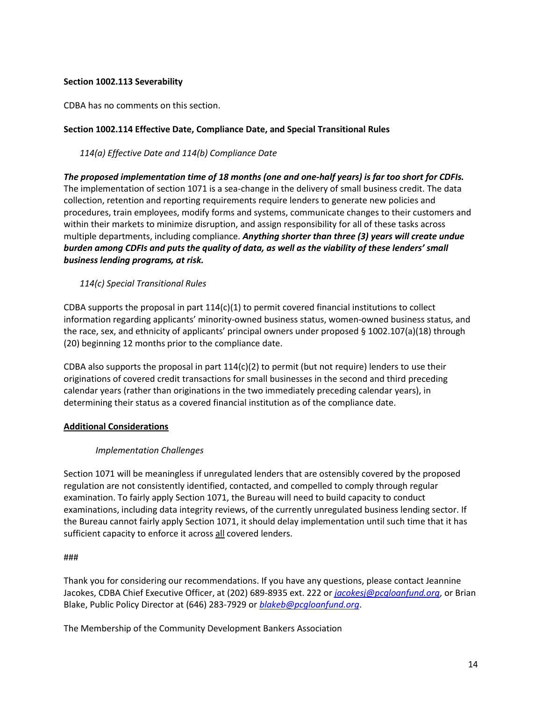### **Section 1002.113 Severability**

CDBA has no comments on this section.

### **Section 1002.114 Effective Date, Compliance Date, and Special Transitional Rules**

*114(a) Effective Date and 114(b) Compliance Date*

*The proposed implementation time of 18 months (one and one-half years) is far too short for CDFIs.* The implementation of section 1071 is a sea-change in the delivery of small business credit. The data collection, retention and reporting requirements require lenders to generate new policies and procedures, train employees, modify forms and systems, communicate changes to their customers and within their markets to minimize disruption, and assign responsibility for all of these tasks across multiple departments, including compliance. *Anything shorter than three (3) years will create undue burden among CDFIs and puts the quality of data, as well as the viability of these lenders' small business lending programs, at risk.*

*114(c) Special Transitional Rules*

CDBA supports the proposal in part  $114(c)(1)$  to permit covered financial institutions to collect information regarding applicants' minority-owned business status, women-owned business status, and the race, sex, and ethnicity of applicants' principal owners under proposed § 1002.107(a)(18) through (20) beginning 12 months prior to the compliance date.

CDBA also supports the proposal in part  $114(c)(2)$  to permit (but not require) lenders to use their originations of covered credit transactions for small businesses in the second and third preceding calendar years (rather than originations in the two immediately preceding calendar years), in determining their status as a covered financial institution as of the compliance date.

### **Additional Considerations**

### *Implementation Challenges*

Section 1071 will be meaningless if unregulated lenders that are ostensibly covered by the proposed regulation are not consistently identified, contacted, and compelled to comply through regular examination. To fairly apply Section 1071, the Bureau will need to build capacity to conduct examinations, including data integrity reviews, of the currently unregulated business lending sector. If the Bureau cannot fairly apply Section 1071, it should delay implementation until such time that it has sufficient capacity to enforce it across all covered lenders.

#### ###

Thank you for considering our recommendations. If you have any questions, please contact Jeannine Jacokes, CDBA Chief Executive Officer, at (202) 689-8935 ext. 222 or *[jacokesj@pcgloanfund.org](mailto:jacokesj@pcgloanfund.org)*, or Brian Blake, Public Policy Director at (646) 283-7929 or *[blakeb@pcgloanfund.org](file:///C:/Users/jjacokes/AppData/Local/Microsoft/Windows/INetCache/Content.Outlook/MNEVLOR1/blakeb@pcgloanfund.org)*.

The Membership of the Community Development Bankers Association